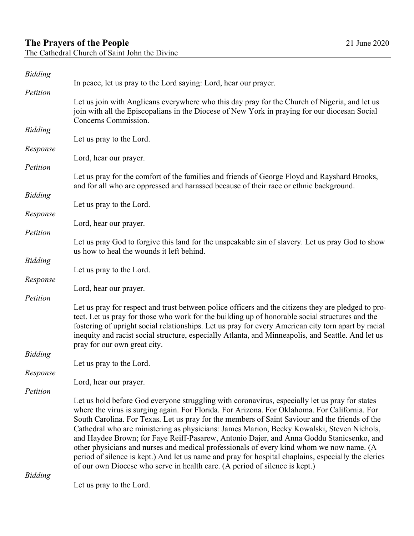| <b>Bidding</b> |                                                                                                                                                                                                                                                                                                                                                                                                                                                                                                                                                                                                                                                                                                                                                                               |
|----------------|-------------------------------------------------------------------------------------------------------------------------------------------------------------------------------------------------------------------------------------------------------------------------------------------------------------------------------------------------------------------------------------------------------------------------------------------------------------------------------------------------------------------------------------------------------------------------------------------------------------------------------------------------------------------------------------------------------------------------------------------------------------------------------|
| Petition       | In peace, let us pray to the Lord saying: Lord, hear our prayer.                                                                                                                                                                                                                                                                                                                                                                                                                                                                                                                                                                                                                                                                                                              |
|                | Let us join with Anglicans everywhere who this day pray for the Church of Nigeria, and let us<br>join with all the Episcopalians in the Diocese of New York in praying for our diocesan Social<br>Concerns Commission.                                                                                                                                                                                                                                                                                                                                                                                                                                                                                                                                                        |
| <b>Bidding</b> |                                                                                                                                                                                                                                                                                                                                                                                                                                                                                                                                                                                                                                                                                                                                                                               |
| Response       | Let us pray to the Lord.                                                                                                                                                                                                                                                                                                                                                                                                                                                                                                                                                                                                                                                                                                                                                      |
|                | Lord, hear our prayer.                                                                                                                                                                                                                                                                                                                                                                                                                                                                                                                                                                                                                                                                                                                                                        |
| Petition       |                                                                                                                                                                                                                                                                                                                                                                                                                                                                                                                                                                                                                                                                                                                                                                               |
|                | Let us pray for the comfort of the families and friends of George Floyd and Rayshard Brooks,<br>and for all who are oppressed and harassed because of their race or ethnic background.                                                                                                                                                                                                                                                                                                                                                                                                                                                                                                                                                                                        |
| <b>Bidding</b> | Let us pray to the Lord.                                                                                                                                                                                                                                                                                                                                                                                                                                                                                                                                                                                                                                                                                                                                                      |
| Response       |                                                                                                                                                                                                                                                                                                                                                                                                                                                                                                                                                                                                                                                                                                                                                                               |
| Petition       | Lord, hear our prayer.                                                                                                                                                                                                                                                                                                                                                                                                                                                                                                                                                                                                                                                                                                                                                        |
|                | Let us pray God to forgive this land for the unspeakable sin of slavery. Let us pray God to show<br>us how to heal the wounds it left behind.                                                                                                                                                                                                                                                                                                                                                                                                                                                                                                                                                                                                                                 |
| <b>Bidding</b> |                                                                                                                                                                                                                                                                                                                                                                                                                                                                                                                                                                                                                                                                                                                                                                               |
| Response       | Let us pray to the Lord.                                                                                                                                                                                                                                                                                                                                                                                                                                                                                                                                                                                                                                                                                                                                                      |
|                | Lord, hear our prayer.                                                                                                                                                                                                                                                                                                                                                                                                                                                                                                                                                                                                                                                                                                                                                        |
| Petition       | Let us pray for respect and trust between police officers and the citizens they are pledged to pro-<br>tect. Let us pray for those who work for the building up of honorable social structures and the<br>fostering of upright social relationships. Let us pray for every American city torn apart by racial<br>inequity and racist social structure, especially Atlanta, and Minneapolis, and Seattle. And let us<br>pray for our own great city.                                                                                                                                                                                                                                                                                                                           |
| <b>Bidding</b> |                                                                                                                                                                                                                                                                                                                                                                                                                                                                                                                                                                                                                                                                                                                                                                               |
| Response       | Let us pray to the Lord.                                                                                                                                                                                                                                                                                                                                                                                                                                                                                                                                                                                                                                                                                                                                                      |
| Petition       | Lord, hear our prayer.                                                                                                                                                                                                                                                                                                                                                                                                                                                                                                                                                                                                                                                                                                                                                        |
|                | Let us hold before God everyone struggling with coronavirus, especially let us pray for states<br>where the virus is surging again. For Florida. For Arizona. For Oklahoma. For California. For<br>South Carolina. For Texas. Let us pray for the members of Saint Saviour and the friends of the<br>Cathedral who are ministering as physicians: James Marion, Becky Kowalski, Steven Nichols,<br>and Haydee Brown; for Faye Reiff-Pasarew, Antonio Dajer, and Anna Goddu Stanicsenko, and<br>other physicians and nurses and medical professionals of every kind whom we now name. (A<br>period of silence is kept.) And let us name and pray for hospital chaplains, especially the clerics<br>of our own Diocese who serve in health care. (A period of silence is kept.) |
| <b>Bidding</b> |                                                                                                                                                                                                                                                                                                                                                                                                                                                                                                                                                                                                                                                                                                                                                                               |

Let us pray to the Lord.